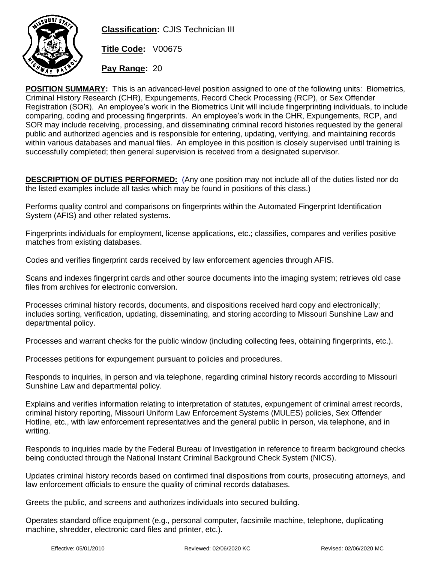

**Classification:** CJIS Technician III

**Title Code:** V00675

**Pay Range:** 20

**POSITION SUMMARY:** This is an advanced-level position assigned to one of the following units: Biometrics, Criminal History Research (CHR), Expungements, Record Check Processing (RCP), or Sex Offender Registration (SOR). An employee's work in the Biometrics Unit will include fingerprinting individuals, to include comparing, coding and processing fingerprints. An employee's work in the CHR, Expungements, RCP, and SOR may include receiving, processing, and disseminating criminal record histories requested by the general public and authorized agencies and is responsible for entering, updating, verifying, and maintaining records within various databases and manual files. An employee in this position is closely supervised until training is successfully completed; then general supervision is received from a designated supervisor.

**DESCRIPTION OF DUTIES PERFORMED:** (Any one position may not include all of the duties listed nor do the listed examples include all tasks which may be found in positions of this class.)

Performs quality control and comparisons on fingerprints within the Automated Fingerprint Identification System (AFIS) and other related systems.

Fingerprints individuals for employment, license applications, etc.; classifies, compares and verifies positive matches from existing databases.

Codes and verifies fingerprint cards received by law enforcement agencies through AFIS.

Scans and indexes fingerprint cards and other source documents into the imaging system; retrieves old case files from archives for electronic conversion.

Processes criminal history records, documents, and dispositions received hard copy and electronically; includes sorting, verification, updating, disseminating, and storing according to Missouri Sunshine Law and departmental policy.

Processes and warrant checks for the public window (including collecting fees, obtaining fingerprints, etc.).

Processes petitions for expungement pursuant to policies and procedures.

Responds to inquiries, in person and via telephone, regarding criminal history records according to Missouri Sunshine Law and departmental policy.

Explains and verifies information relating to interpretation of statutes, expungement of criminal arrest records, criminal history reporting, Missouri Uniform Law Enforcement Systems (MULES) policies, Sex Offender Hotline, etc., with law enforcement representatives and the general public in person, via telephone, and in writing.

Responds to inquiries made by the Federal Bureau of Investigation in reference to firearm background checks being conducted through the National Instant Criminal Background Check System (NICS).

Updates criminal history records based on confirmed final dispositions from courts, prosecuting attorneys, and law enforcement officials to ensure the quality of criminal records databases.

Greets the public, and screens and authorizes individuals into secured building.

Operates standard office equipment (e.g., personal computer, facsimile machine, telephone, duplicating machine, shredder, electronic card files and printer, etc.).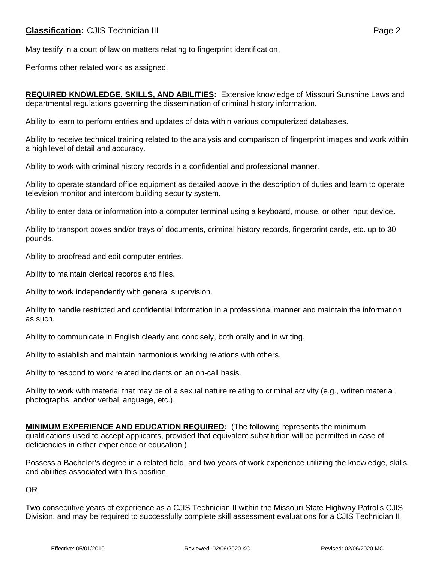May testify in a court of law on matters relating to fingerprint identification.

Performs other related work as assigned.

**REQUIRED KNOWLEDGE, SKILLS, AND ABILITIES:** Extensive knowledge of Missouri Sunshine Laws and departmental regulations governing the dissemination of criminal history information.

Ability to learn to perform entries and updates of data within various computerized databases.

Ability to receive technical training related to the analysis and comparison of fingerprint images and work within a high level of detail and accuracy.

Ability to work with criminal history records in a confidential and professional manner.

Ability to operate standard office equipment as detailed above in the description of duties and learn to operate television monitor and intercom building security system.

Ability to enter data or information into a computer terminal using a keyboard, mouse, or other input device.

Ability to transport boxes and/or trays of documents, criminal history records, fingerprint cards, etc. up to 30 pounds.

Ability to proofread and edit computer entries.

Ability to maintain clerical records and files.

Ability to work independently with general supervision.

Ability to handle restricted and confidential information in a professional manner and maintain the information as such.

Ability to communicate in English clearly and concisely, both orally and in writing.

Ability to establish and maintain harmonious working relations with others.

Ability to respond to work related incidents on an on-call basis.

Ability to work with material that may be of a sexual nature relating to criminal activity (e.g., written material, photographs, and/or verbal language, etc.).

**MINIMUM EXPERIENCE AND EDUCATION REQUIRED:** (The following represents the minimum qualifications used to accept applicants, provided that equivalent substitution will be permitted in case of deficiencies in either experience or education.)

Possess a Bachelor's degree in a related field, and two years of work experience utilizing the knowledge, skills, and abilities associated with this position.

OR

Two consecutive years of experience as a CJIS Technician II within the Missouri State Highway Patrol's CJIS Division, and may be required to successfully complete skill assessment evaluations for a CJIS Technician II.